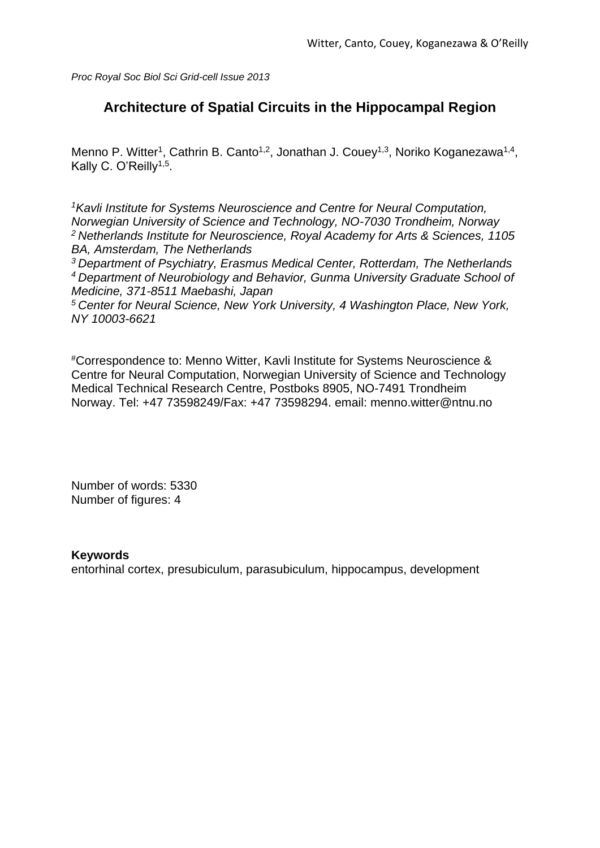*Proc Royal Soc Biol Sci Grid-cell Issue 2013*

# **Architecture of Spatial Circuits in the Hippocampal Region**

Menno P. Witter<sup>1</sup>, Cathrin B. Canto<sup>1,2</sup>, Jonathan J. Couey<sup>1,3</sup>, Noriko Koganezawa<sup>1,4</sup>, Kally C. O'Reilly<sup>1,5</sup>.

*<sup>1</sup>Kavli Institute for Systems Neuroscience and Centre for Neural Computation, Norwegian University of Science and Technology, NO-7030 Trondheim, Norway <sup>2</sup>Netherlands Institute for Neuroscience, Royal Academy for Arts & Sciences, 1105 BA, Amsterdam, The Netherlands* 

*<sup>3</sup>Department of Psychiatry, Erasmus Medical Center, Rotterdam, The Netherlands <sup>4</sup>Department of Neurobiology and Behavior, Gunma University Graduate School of Medicine, 371-8511 Maebashi, Japan*

*<sup>5</sup>Center for Neural Science, New York University, 4 Washington Place, New York, NY 10003-6621* 

#Correspondence to: Menno Witter, Kavli Institute for Systems Neuroscience & Centre for Neural Computation, Norwegian University of Science and Technology Medical Technical Research Centre, Postboks 8905, NO-7491 Trondheim Norway. Tel: +47 73598249/Fax: +47 73598294. email: menno.witter@ntnu.no

Number of words: 5330 Number of figures: 4

### **Keywords**

entorhinal cortex, presubiculum, parasubiculum, hippocampus, development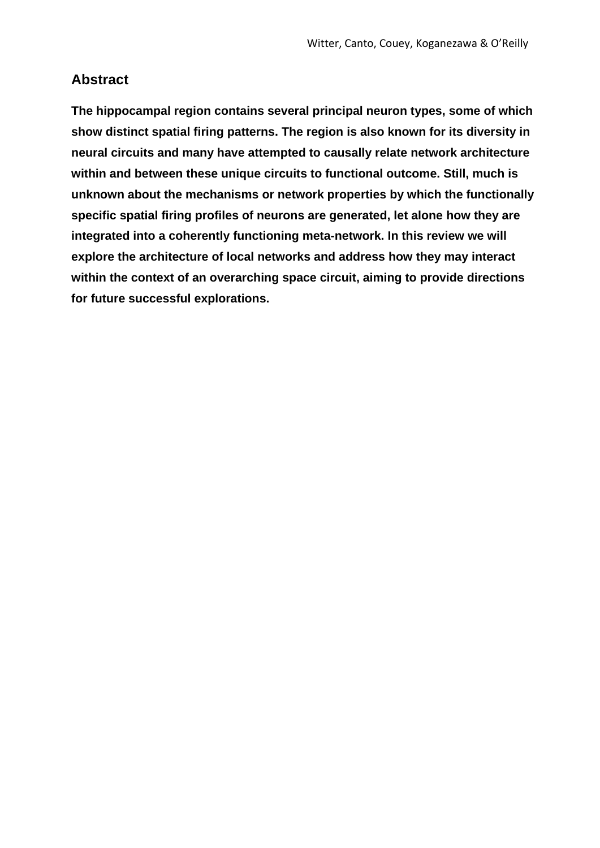## **Abstract**

**The hippocampal region contains several principal neuron types, some of which show distinct spatial firing patterns. The region is also known for its diversity in neural circuits and many have attempted to causally relate network architecture within and between these unique circuits to functional outcome. Still, much is unknown about the mechanisms or network properties by which the functionally specific spatial firing profiles of neurons are generated, let alone how they are integrated into a coherently functioning meta-network. In this review we will explore the architecture of local networks and address how they may interact within the context of an overarching space circuit, aiming to provide directions for future successful explorations.**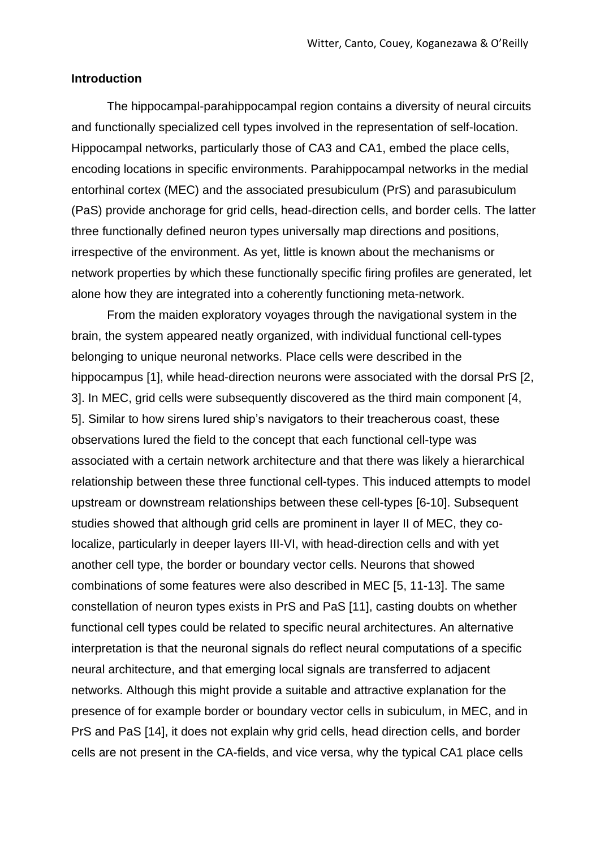#### **Introduction**

The hippocampal-parahippocampal region contains a diversity of neural circuits and functionally specialized cell types involved in the representation of self-location. Hippocampal networks, particularly those of CA3 and CA1, embed the place cells, encoding locations in specific environments. Parahippocampal networks in the medial entorhinal cortex (MEC) and the associated presubiculum (PrS) and parasubiculum (PaS) provide anchorage for grid cells, head-direction cells, and border cells. The latter three functionally defined neuron types universally map directions and positions, irrespective of the environment. As yet, little is known about the mechanisms or network properties by which these functionally specific firing profiles are generated, let alone how they are integrated into a coherently functioning meta-network.

From the maiden exploratory voyages through the navigational system in the brain, the system appeared neatly organized, with individual functional cell-types belonging to unique neuronal networks. Place cells were described in the hippocampus [1], while head-direction neurons were associated with the dorsal PrS [2, 3]. In MEC, grid cells were subsequently discovered as the third main component [4, 5]. Similar to how sirens lured ship's navigators to their treacherous coast, these observations lured the field to the concept that each functional cell-type was associated with a certain network architecture and that there was likely a hierarchical relationship between these three functional cell-types. This induced attempts to model upstream or downstream relationships between these cell-types [6-10]. Subsequent studies showed that although grid cells are prominent in layer II of MEC, they colocalize, particularly in deeper layers III-VI, with head-direction cells and with yet another cell type, the border or boundary vector cells. Neurons that showed combinations of some features were also described in MEC [5, 11-13]. The same constellation of neuron types exists in PrS and PaS [11], casting doubts on whether functional cell types could be related to specific neural architectures. An alternative interpretation is that the neuronal signals do reflect neural computations of a specific neural architecture, and that emerging local signals are transferred to adjacent networks. Although this might provide a suitable and attractive explanation for the presence of for example border or boundary vector cells in subiculum, in MEC, and in PrS and PaS [14], it does not explain why grid cells, head direction cells, and border cells are not present in the CA-fields, and vice versa, why the typical CA1 place cells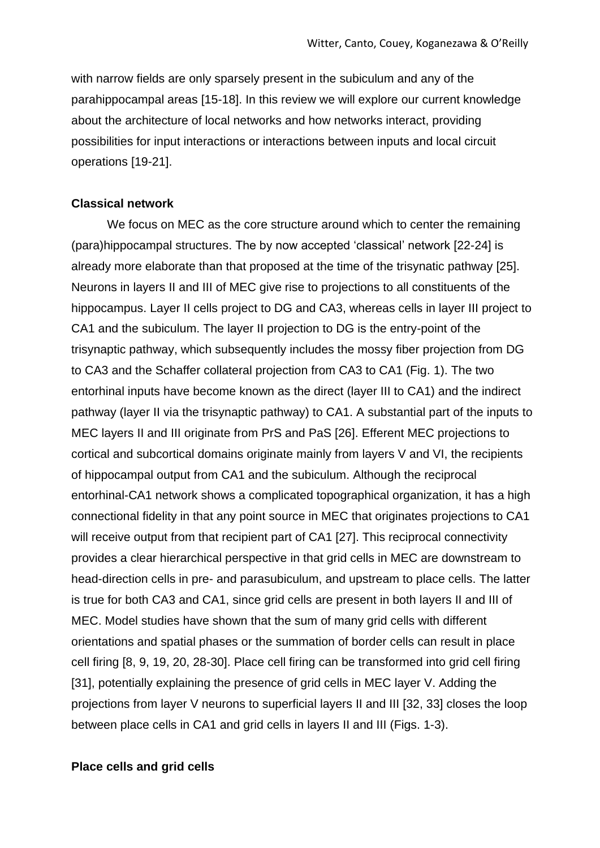with narrow fields are only sparsely present in the subiculum and any of the parahippocampal areas [15-18]. In this review we will explore our current knowledge about the architecture of local networks and how networks interact, providing possibilities for input interactions or interactions between inputs and local circuit operations [19-21].

#### **Classical network**

We focus on MEC as the core structure around which to center the remaining (para)hippocampal structures. The by now accepted 'classical' network [22-24] is already more elaborate than that proposed at the time of the trisynatic pathway [25]. Neurons in layers II and III of MEC give rise to projections to all constituents of the hippocampus. Layer II cells project to DG and CA3, whereas cells in layer III project to CA1 and the subiculum. The layer II projection to DG is the entry-point of the trisynaptic pathway, which subsequently includes the mossy fiber projection from DG to CA3 and the Schaffer collateral projection from CA3 to CA1 (Fig. 1). The two entorhinal inputs have become known as the direct (layer III to CA1) and the indirect pathway (layer II via the trisynaptic pathway) to CA1. A substantial part of the inputs to MEC layers II and III originate from PrS and PaS [26]. Efferent MEC projections to cortical and subcortical domains originate mainly from layers V and VI, the recipients of hippocampal output from CA1 and the subiculum. Although the reciprocal entorhinal-CA1 network shows a complicated topographical organization, it has a high connectional fidelity in that any point source in MEC that originates projections to CA1 will receive output from that recipient part of CA1 [27]. This reciprocal connectivity provides a clear hierarchical perspective in that grid cells in MEC are downstream to head-direction cells in pre- and parasubiculum, and upstream to place cells. The latter is true for both CA3 and CA1, since grid cells are present in both layers II and III of MEC. Model studies have shown that the sum of many grid cells with different orientations and spatial phases or the summation of border cells can result in place cell firing [8, 9, 19, 20, 28-30]. Place cell firing can be transformed into grid cell firing [31], potentially explaining the presence of grid cells in MEC layer V. Adding the projections from layer V neurons to superficial layers II and III [32, 33] closes the loop between place cells in CA1 and grid cells in layers II and III (Figs. 1-3).

#### **Place cells and grid cells**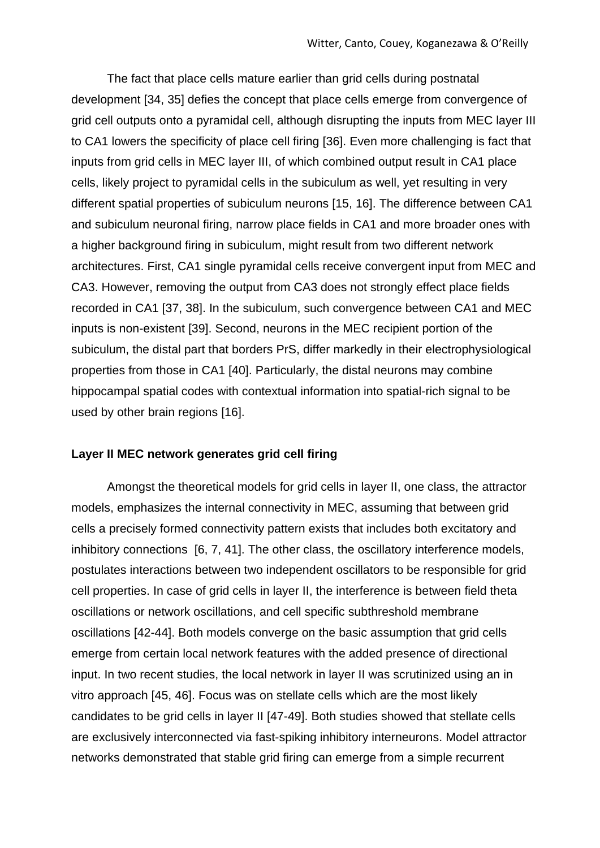The fact that place cells mature earlier than grid cells during postnatal development [34, 35] defies the concept that place cells emerge from convergence of grid cell outputs onto a pyramidal cell, although disrupting the inputs from MEC layer III to CA1 lowers the specificity of place cell firing [36]. Even more challenging is fact that inputs from grid cells in MEC layer III, of which combined output result in CA1 place cells, likely project to pyramidal cells in the subiculum as well, yet resulting in very different spatial properties of subiculum neurons [15, 16]. The difference between CA1 and subiculum neuronal firing, narrow place fields in CA1 and more broader ones with a higher background firing in subiculum, might result from two different network architectures. First, CA1 single pyramidal cells receive convergent input from MEC and CA3. However, removing the output from CA3 does not strongly effect place fields recorded in CA1 [37, 38]. In the subiculum, such convergence between CA1 and MEC inputs is non-existent [39]. Second, neurons in the MEC recipient portion of the subiculum, the distal part that borders PrS, differ markedly in their electrophysiological properties from those in CA1 [40]. Particularly, the distal neurons may combine hippocampal spatial codes with contextual information into spatial-rich signal to be used by other brain regions [16].

#### **Layer II MEC network generates grid cell firing**

Amongst the theoretical models for grid cells in layer II, one class, the attractor models, emphasizes the internal connectivity in MEC, assuming that between grid cells a precisely formed connectivity pattern exists that includes both excitatory and inhibitory connections [6, 7, 41]. The other class, the oscillatory interference models, postulates interactions between two independent oscillators to be responsible for grid cell properties. In case of grid cells in layer II, the interference is between field theta oscillations or network oscillations, and cell specific subthreshold membrane oscillations [42-44]. Both models converge on the basic assumption that grid cells emerge from certain local network features with the added presence of directional input. In two recent studies, the local network in layer II was scrutinized using an in vitro approach [45, 46]. Focus was on stellate cells which are the most likely candidates to be grid cells in layer II [47-49]. Both studies showed that stellate cells are exclusively interconnected via fast-spiking inhibitory interneurons. Model attractor networks demonstrated that stable grid firing can emerge from a simple recurrent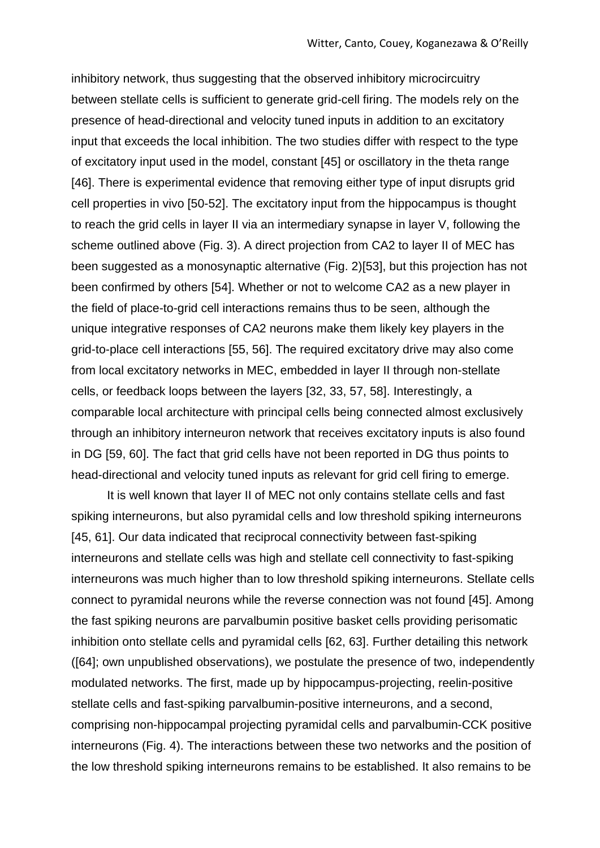inhibitory network, thus suggesting that the observed inhibitory microcircuitry between stellate cells is sufficient to generate grid-cell firing. The models rely on the presence of head-directional and velocity tuned inputs in addition to an excitatory input that exceeds the local inhibition. The two studies differ with respect to the type of excitatory input used in the model, constant [45] or oscillatory in the theta range [46]. There is experimental evidence that removing either type of input disrupts grid cell properties in vivo [50-52]. The excitatory input from the hippocampus is thought to reach the grid cells in layer II via an intermediary synapse in layer V, following the scheme outlined above (Fig. 3). A direct projection from CA2 to layer II of MEC has been suggested as a monosynaptic alternative (Fig. 2)[53], but this projection has not been confirmed by others [54]. Whether or not to welcome CA2 as a new player in the field of place-to-grid cell interactions remains thus to be seen, although the unique integrative responses of CA2 neurons make them likely key players in the grid-to-place cell interactions [55, 56]. The required excitatory drive may also come from local excitatory networks in MEC, embedded in layer II through non-stellate cells, or feedback loops between the layers [32, 33, 57, 58]. Interestingly, a comparable local architecture with principal cells being connected almost exclusively through an inhibitory interneuron network that receives excitatory inputs is also found in DG [59, 60]. The fact that grid cells have not been reported in DG thus points to head-directional and velocity tuned inputs as relevant for grid cell firing to emerge.

It is well known that layer II of MEC not only contains stellate cells and fast spiking interneurons, but also pyramidal cells and low threshold spiking interneurons [45, 61]. Our data indicated that reciprocal connectivity between fast-spiking interneurons and stellate cells was high and stellate cell connectivity to fast-spiking interneurons was much higher than to low threshold spiking interneurons. Stellate cells connect to pyramidal neurons while the reverse connection was not found [45]. Among the fast spiking neurons are parvalbumin positive basket cells providing perisomatic inhibition onto stellate cells and pyramidal cells [62, 63]. Further detailing this network ([64]; own unpublished observations), we postulate the presence of two, independently modulated networks. The first, made up by hippocampus-projecting, reelin-positive stellate cells and fast-spiking parvalbumin-positive interneurons, and a second, comprising non-hippocampal projecting pyramidal cells and parvalbumin-CCK positive interneurons (Fig. 4). The interactions between these two networks and the position of the low threshold spiking interneurons remains to be established. It also remains to be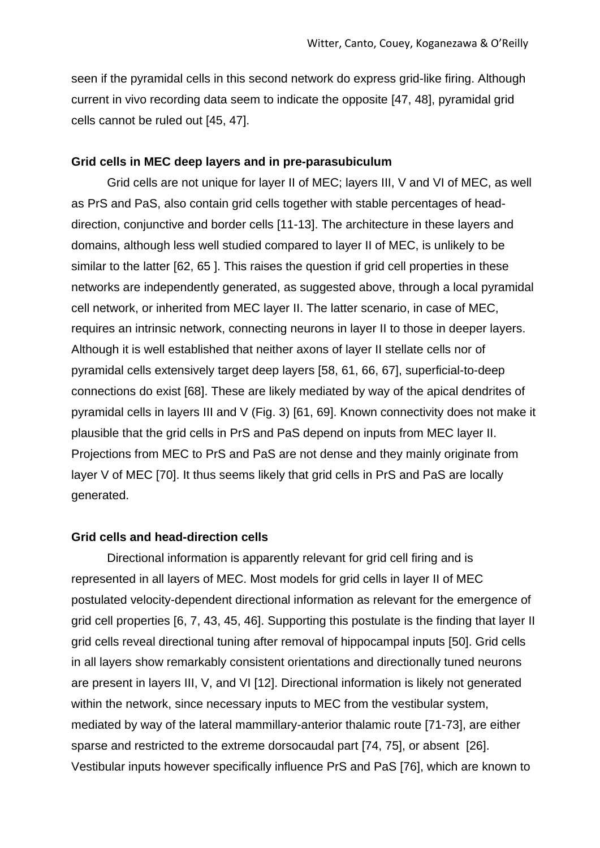seen if the pyramidal cells in this second network do express grid-like firing. Although current in vivo recording data seem to indicate the opposite [47, 48], pyramidal grid cells cannot be ruled out [45, 47].

#### **Grid cells in MEC deep layers and in pre-parasubiculum**

Grid cells are not unique for layer II of MEC; layers III, V and VI of MEC, as well as PrS and PaS, also contain grid cells together with stable percentages of headdirection, conjunctive and border cells [11-13]. The architecture in these layers and domains, although less well studied compared to layer II of MEC, is unlikely to be similar to the latter [62, 65 ]. This raises the question if grid cell properties in these networks are independently generated, as suggested above, through a local pyramidal cell network, or inherited from MEC layer II. The latter scenario, in case of MEC, requires an intrinsic network, connecting neurons in layer II to those in deeper layers. Although it is well established that neither axons of layer II stellate cells nor of pyramidal cells extensively target deep layers [58, 61, 66, 67], superficial-to-deep connections do exist [68]. These are likely mediated by way of the apical dendrites of pyramidal cells in layers III and V (Fig. 3) [61, 69]. Known connectivity does not make it plausible that the grid cells in PrS and PaS depend on inputs from MEC layer II. Projections from MEC to PrS and PaS are not dense and they mainly originate from layer V of MEC [70]. It thus seems likely that grid cells in PrS and PaS are locally generated.

#### **Grid cells and head-direction cells**

Directional information is apparently relevant for grid cell firing and is represented in all layers of MEC. Most models for grid cells in layer II of MEC postulated velocity-dependent directional information as relevant for the emergence of grid cell properties [6, 7, 43, 45, 46]. Supporting this postulate is the finding that layer II grid cells reveal directional tuning after removal of hippocampal inputs [50]. Grid cells in all layers show remarkably consistent orientations and directionally tuned neurons are present in layers III, V, and VI [12]. Directional information is likely not generated within the network, since necessary inputs to MEC from the vestibular system, mediated by way of the lateral mammillary-anterior thalamic route [71-73], are either sparse and restricted to the extreme dorsocaudal part [74, 75], or absent [26]. Vestibular inputs however specifically influence PrS and PaS [76], which are known to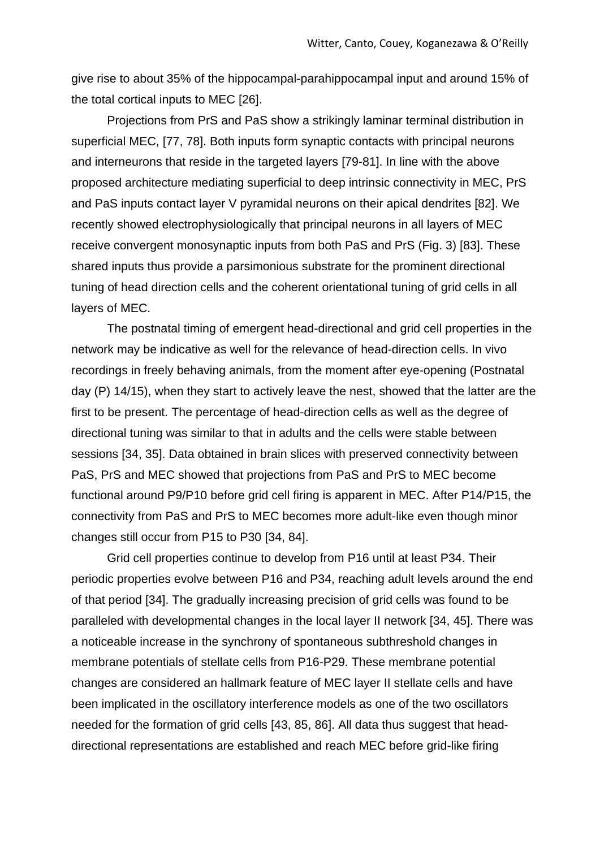give rise to about 35% of the hippocampal-parahippocampal input and around 15% of the total cortical inputs to MEC [26].

Projections from PrS and PaS show a strikingly laminar terminal distribution in superficial MEC, [77, 78]. Both inputs form synaptic contacts with principal neurons and interneurons that reside in the targeted layers [79-81]. In line with the above proposed architecture mediating superficial to deep intrinsic connectivity in MEC, PrS and PaS inputs contact layer V pyramidal neurons on their apical dendrites [82]. We recently showed electrophysiologically that principal neurons in all layers of MEC receive convergent monosynaptic inputs from both PaS and PrS (Fig. 3) [83]. These shared inputs thus provide a parsimonious substrate for the prominent directional tuning of head direction cells and the coherent orientational tuning of grid cells in all layers of MEC.

The postnatal timing of emergent head-directional and grid cell properties in the network may be indicative as well for the relevance of head-direction cells. In vivo recordings in freely behaving animals, from the moment after eye-opening (Postnatal day (P) 14/15), when they start to actively leave the nest, showed that the latter are the first to be present. The percentage of head-direction cells as well as the degree of directional tuning was similar to that in adults and the cells were stable between sessions [34, 35]. Data obtained in brain slices with preserved connectivity between PaS, PrS and MEC showed that projections from PaS and PrS to MEC become functional around P9/P10 before grid cell firing is apparent in MEC. After P14/P15, the connectivity from PaS and PrS to MEC becomes more adult-like even though minor changes still occur from P15 to P30 [34, 84].

Grid cell properties continue to develop from P16 until at least P34. Their periodic properties evolve between P16 and P34, reaching adult levels around the end of that period [34]. The gradually increasing precision of grid cells was found to be paralleled with developmental changes in the local layer II network [34, 45]. There was a noticeable increase in the synchrony of spontaneous subthreshold changes in membrane potentials of stellate cells from P16-P29. These membrane potential changes are considered an hallmark feature of MEC layer II stellate cells and have been implicated in the oscillatory interference models as one of the two oscillators needed for the formation of grid cells [43, 85, 86]. All data thus suggest that headdirectional representations are established and reach MEC before grid-like firing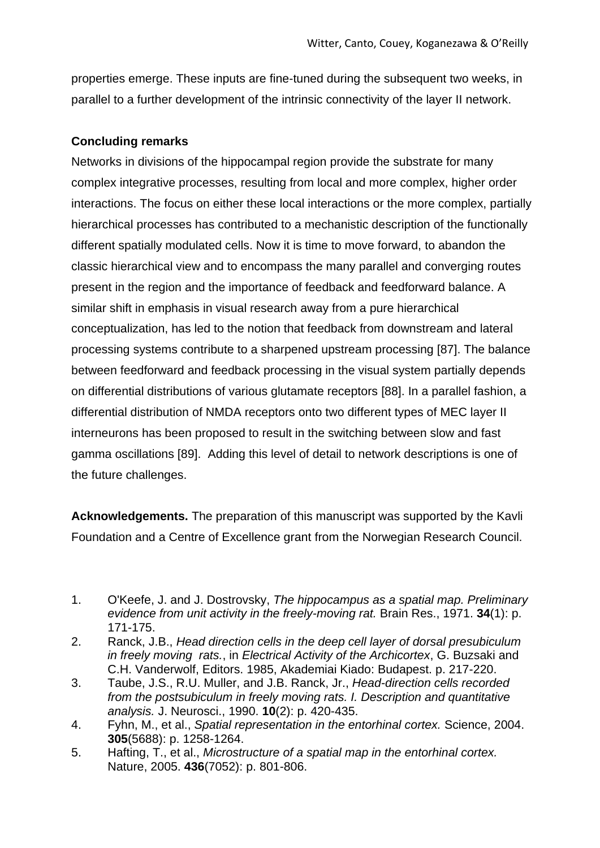properties emerge. These inputs are fine-tuned during the subsequent two weeks, in parallel to a further development of the intrinsic connectivity of the layer II network.

## **Concluding remarks**

Networks in divisions of the hippocampal region provide the substrate for many complex integrative processes, resulting from local and more complex, higher order interactions. The focus on either these local interactions or the more complex, partially hierarchical processes has contributed to a mechanistic description of the functionally different spatially modulated cells. Now it is time to move forward, to abandon the classic hierarchical view and to encompass the many parallel and converging routes present in the region and the importance of feedback and feedforward balance. A similar shift in emphasis in visual research away from a pure hierarchical conceptualization, has led to the notion that feedback from downstream and lateral processing systems contribute to a sharpened upstream processing [87]. The balance between feedforward and feedback processing in the visual system partially depends on differential distributions of various glutamate receptors [88]. In a parallel fashion, a differential distribution of NMDA receptors onto two different types of MEC layer II interneurons has been proposed to result in the switching between slow and fast gamma oscillations [89]. Adding this level of detail to network descriptions is one of the future challenges.

**Acknowledgements.** The preparation of this manuscript was supported by the Kavli Foundation and a Centre of Excellence grant from the Norwegian Research Council.

- 3. Taube, J.S., R.U. Muller, and J.B. Ranck, Jr., *Head-direction cells recorded from the postsubiculum in freely moving rats. I. Description and quantitative analysis.* J. Neurosci., 1990. **10**(2): p. 420-435.
- 4. Fyhn, M., et al., *Spatial representation in the entorhinal cortex.* Science, 2004. **305**(5688): p. 1258-1264.
- 5. Hafting, T., et al., *Microstructure of a spatial map in the entorhinal cortex.* Nature, 2005. **436**(7052): p. 801-806.

<sup>1.</sup> O'Keefe, J. and J. Dostrovsky, *The hippocampus as a spatial map. Preliminary evidence from unit activity in the freely-moving rat.* Brain Res., 1971. **34**(1): p. 171-175.

<sup>2.</sup> Ranck, J.B., *Head direction cells in the deep cell layer of dorsal presubiculum in freely moving rats.*, in *Electrical Activity of the Archicortex*, G. Buzsaki and C.H. Vanderwolf, Editors. 1985, Akademiai Kiado: Budapest. p. 217-220.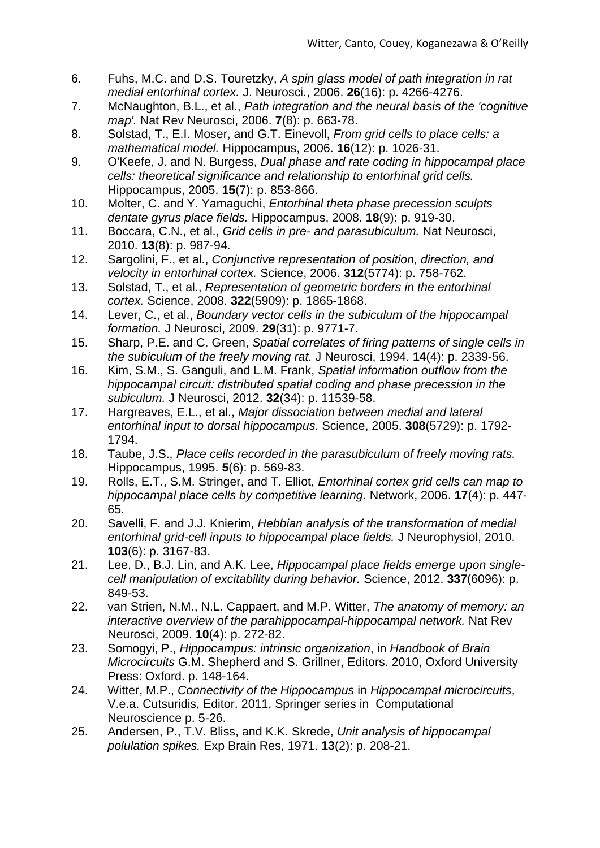- 6. Fuhs, M.C. and D.S. Touretzky, *A spin glass model of path integration in rat medial entorhinal cortex.* J. Neurosci., 2006. **26**(16): p. 4266-4276.
- 7. McNaughton, B.L., et al., *Path integration and the neural basis of the 'cognitive map'.* Nat Rev Neurosci, 2006. **7**(8): p. 663-78.
- 8. Solstad, T., E.I. Moser, and G.T. Einevoll, *From grid cells to place cells: a mathematical model.* Hippocampus, 2006. **16**(12): p. 1026-31.
- 9. O'Keefe, J. and N. Burgess, *Dual phase and rate coding in hippocampal place cells: theoretical significance and relationship to entorhinal grid cells.* Hippocampus, 2005. **15**(7): p. 853-866.
- 10. Molter, C. and Y. Yamaguchi, *Entorhinal theta phase precession sculpts dentate gyrus place fields.* Hippocampus, 2008. **18**(9): p. 919-30.
- 11. Boccara, C.N., et al., *Grid cells in pre- and parasubiculum.* Nat Neurosci, 2010. **13**(8): p. 987-94.
- 12. Sargolini, F., et al., *Conjunctive representation of position, direction, and velocity in entorhinal cortex.* Science, 2006. **312**(5774): p. 758-762.
- 13. Solstad, T., et al., *Representation of geometric borders in the entorhinal cortex.* Science, 2008. **322**(5909): p. 1865-1868.
- 14. Lever, C., et al., *Boundary vector cells in the subiculum of the hippocampal formation.* J Neurosci, 2009. **29**(31): p. 9771-7.
- 15. Sharp, P.E. and C. Green, *Spatial correlates of firing patterns of single cells in the subiculum of the freely moving rat.* J Neurosci, 1994. **14**(4): p. 2339-56.
- 16. Kim, S.M., S. Ganguli, and L.M. Frank, *Spatial information outflow from the hippocampal circuit: distributed spatial coding and phase precession in the subiculum.* J Neurosci, 2012. **32**(34): p. 11539-58.
- 17. Hargreaves, E.L., et al., *Major dissociation between medial and lateral entorhinal input to dorsal hippocampus.* Science, 2005. **308**(5729): p. 1792- 1794.
- 18. Taube, J.S., *Place cells recorded in the parasubiculum of freely moving rats.* Hippocampus, 1995. **5**(6): p. 569-83.
- 19. Rolls, E.T., S.M. Stringer, and T. Elliot, *Entorhinal cortex grid cells can map to hippocampal place cells by competitive learning.* Network, 2006. **17**(4): p. 447- 65.
- 20. Savelli, F. and J.J. Knierim, *Hebbian analysis of the transformation of medial entorhinal grid-cell inputs to hippocampal place fields.* J Neurophysiol, 2010. **103**(6): p. 3167-83.
- 21. Lee, D., B.J. Lin, and A.K. Lee, *Hippocampal place fields emerge upon singlecell manipulation of excitability during behavior.* Science, 2012. **337**(6096): p. 849-53.
- 22. van Strien, N.M., N.L. Cappaert, and M.P. Witter, *The anatomy of memory: an interactive overview of the parahippocampal-hippocampal network.* Nat Rev Neurosci, 2009. **10**(4): p. 272-82.
- 23. Somogyi, P., *Hippocampus: intrinsic organization*, in *Handbook of Brain Microcircuits* G.M. Shepherd and S. Grillner, Editors. 2010, Oxford University Press: Oxford. p. 148-164.
- 24. Witter, M.P., *Connectivity of the Hippocampus* in *Hippocampal microcircuits*, V.e.a. Cutsuridis, Editor. 2011, Springer series in Computational Neuroscience p. 5-26.
- 25. Andersen, P., T.V. Bliss, and K.K. Skrede, *Unit analysis of hippocampal polulation spikes.* Exp Brain Res, 1971. **13**(2): p. 208-21.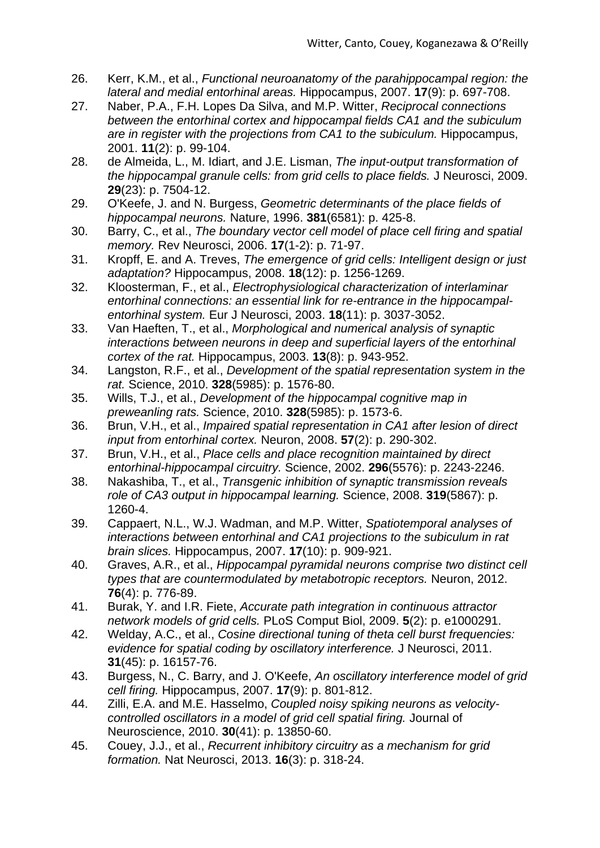- 26. Kerr, K.M., et al., *Functional neuroanatomy of the parahippocampal region: the lateral and medial entorhinal areas.* Hippocampus, 2007. **17**(9): p. 697-708.
- 27. Naber, P.A., F.H. Lopes Da Silva, and M.P. Witter, *Reciprocal connections between the entorhinal cortex and hippocampal fields CA1 and the subiculum are in register with the projections from CA1 to the subiculum.* Hippocampus, 2001. **11**(2): p. 99-104.
- 28. de Almeida, L., M. Idiart, and J.E. Lisman, *The input-output transformation of the hippocampal granule cells: from grid cells to place fields.* J Neurosci, 2009. **29**(23): p. 7504-12.
- 29. O'Keefe, J. and N. Burgess, *Geometric determinants of the place fields of hippocampal neurons.* Nature, 1996. **381**(6581): p. 425-8.
- 30. Barry, C., et al., *The boundary vector cell model of place cell firing and spatial memory.* Rev Neurosci, 2006. **17**(1-2): p. 71-97.
- 31. Kropff, E. and A. Treves, *The emergence of grid cells: Intelligent design or just adaptation?* Hippocampus, 2008. **18**(12): p. 1256-1269.
- 32. Kloosterman, F., et al., *Electrophysiological characterization of interlaminar entorhinal connections: an essential link for re-entrance in the hippocampalentorhinal system.* Eur J Neurosci, 2003. **18**(11): p. 3037-3052.
- 33. Van Haeften, T., et al., *Morphological and numerical analysis of synaptic interactions between neurons in deep and superficial layers of the entorhinal cortex of the rat.* Hippocampus, 2003. **13**(8): p. 943-952.
- 34. Langston, R.F., et al., *Development of the spatial representation system in the rat.* Science, 2010. **328**(5985): p. 1576-80.
- 35. Wills, T.J., et al., *Development of the hippocampal cognitive map in preweanling rats.* Science, 2010. **328**(5985): p. 1573-6.
- 36. Brun, V.H., et al., *Impaired spatial representation in CA1 after lesion of direct input from entorhinal cortex.* Neuron, 2008. **57**(2): p. 290-302.
- 37. Brun, V.H., et al., *Place cells and place recognition maintained by direct entorhinal-hippocampal circuitry.* Science, 2002. **296**(5576): p. 2243-2246.
- 38. Nakashiba, T., et al., *Transgenic inhibition of synaptic transmission reveals role of CA3 output in hippocampal learning.* Science, 2008. **319**(5867): p. 1260-4.
- 39. Cappaert, N.L., W.J. Wadman, and M.P. Witter, *Spatiotemporal analyses of interactions between entorhinal and CA1 projections to the subiculum in rat brain slices.* Hippocampus, 2007. **17**(10): p. 909-921.
- 40. Graves, A.R., et al., *Hippocampal pyramidal neurons comprise two distinct cell types that are countermodulated by metabotropic receptors.* Neuron, 2012. **76**(4): p. 776-89.
- 41. Burak, Y. and I.R. Fiete, *Accurate path integration in continuous attractor network models of grid cells.* PLoS Comput Biol, 2009. **5**(2): p. e1000291.
- 42. Welday, A.C., et al., *Cosine directional tuning of theta cell burst frequencies: evidence for spatial coding by oscillatory interference.* J Neurosci, 2011. **31**(45): p. 16157-76.
- 43. Burgess, N., C. Barry, and J. O'Keefe, *An oscillatory interference model of grid cell firing.* Hippocampus, 2007. **17**(9): p. 801-812.
- 44. Zilli, E.A. and M.E. Hasselmo, *Coupled noisy spiking neurons as velocitycontrolled oscillators in a model of grid cell spatial firing.* Journal of Neuroscience, 2010. **30**(41): p. 13850-60.
- 45. Couey, J.J., et al., *Recurrent inhibitory circuitry as a mechanism for grid formation.* Nat Neurosci, 2013. **16**(3): p. 318-24.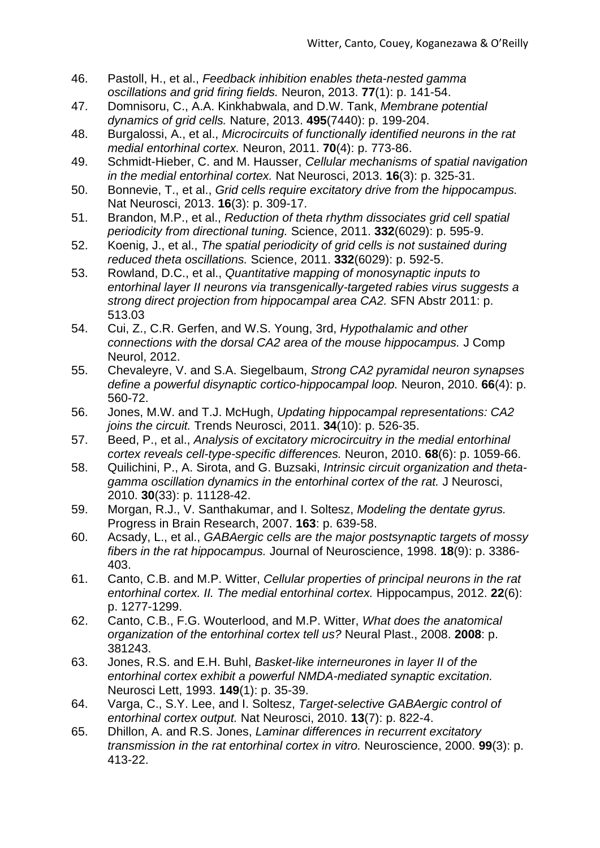- 46. Pastoll, H., et al., *Feedback inhibition enables theta-nested gamma oscillations and grid firing fields.* Neuron, 2013. **77**(1): p. 141-54.
- 47. Domnisoru, C., A.A. Kinkhabwala, and D.W. Tank, *Membrane potential dynamics of grid cells.* Nature, 2013. **495**(7440): p. 199-204.
- 48. Burgalossi, A., et al., *Microcircuits of functionally identified neurons in the rat medial entorhinal cortex.* Neuron, 2011. **70**(4): p. 773-86.
- 49. Schmidt-Hieber, C. and M. Hausser, *Cellular mechanisms of spatial navigation in the medial entorhinal cortex.* Nat Neurosci, 2013. **16**(3): p. 325-31.
- 50. Bonnevie, T., et al., *Grid cells require excitatory drive from the hippocampus.* Nat Neurosci, 2013. **16**(3): p. 309-17.
- 51. Brandon, M.P., et al., *Reduction of theta rhythm dissociates grid cell spatial periodicity from directional tuning.* Science, 2011. **332**(6029): p. 595-9.
- 52. Koenig, J., et al., *The spatial periodicity of grid cells is not sustained during reduced theta oscillations.* Science, 2011. **332**(6029): p. 592-5.
- 53. Rowland, D.C., et al., *Quantitative mapping of monosynaptic inputs to entorhinal layer II neurons via transgenically-targeted rabies virus suggests a strong direct projection from hippocampal area CA2.* SFN Abstr 2011: p. 513.03
- 54. Cui, Z., C.R. Gerfen, and W.S. Young, 3rd, *Hypothalamic and other connections with the dorsal CA2 area of the mouse hippocampus.* J Comp Neurol, 2012.
- 55. Chevaleyre, V. and S.A. Siegelbaum, *Strong CA2 pyramidal neuron synapses define a powerful disynaptic cortico-hippocampal loop.* Neuron, 2010. **66**(4): p. 560-72.
- 56. Jones, M.W. and T.J. McHugh, *Updating hippocampal representations: CA2 joins the circuit.* Trends Neurosci, 2011. **34**(10): p. 526-35.
- 57. Beed, P., et al., *Analysis of excitatory microcircuitry in the medial entorhinal cortex reveals cell-type-specific differences.* Neuron, 2010. **68**(6): p. 1059-66.
- 58. Quilichini, P., A. Sirota, and G. Buzsaki, *Intrinsic circuit organization and thetagamma oscillation dynamics in the entorhinal cortex of the rat.* J Neurosci, 2010. **30**(33): p. 11128-42.
- 59. Morgan, R.J., V. Santhakumar, and I. Soltesz, *Modeling the dentate gyrus.* Progress in Brain Research, 2007. **163**: p. 639-58.
- 60. Acsady, L., et al., *GABAergic cells are the major postsynaptic targets of mossy fibers in the rat hippocampus.* Journal of Neuroscience, 1998. **18**(9): p. 3386- 403.
- 61. Canto, C.B. and M.P. Witter, *Cellular properties of principal neurons in the rat entorhinal cortex. II. The medial entorhinal cortex.* Hippocampus, 2012. **22**(6): p. 1277-1299.
- 62. Canto, C.B., F.G. Wouterlood, and M.P. Witter, *What does the anatomical organization of the entorhinal cortex tell us?* Neural Plast., 2008. **2008**: p. 381243.
- 63. Jones, R.S. and E.H. Buhl, *Basket-like interneurones in layer II of the entorhinal cortex exhibit a powerful NMDA-mediated synaptic excitation.* Neurosci Lett, 1993. **149**(1): p. 35-39.
- 64. Varga, C., S.Y. Lee, and I. Soltesz, *Target-selective GABAergic control of entorhinal cortex output.* Nat Neurosci, 2010. **13**(7): p. 822-4.
- 65. Dhillon, A. and R.S. Jones, *Laminar differences in recurrent excitatory transmission in the rat entorhinal cortex in vitro.* Neuroscience, 2000. **99**(3): p. 413-22.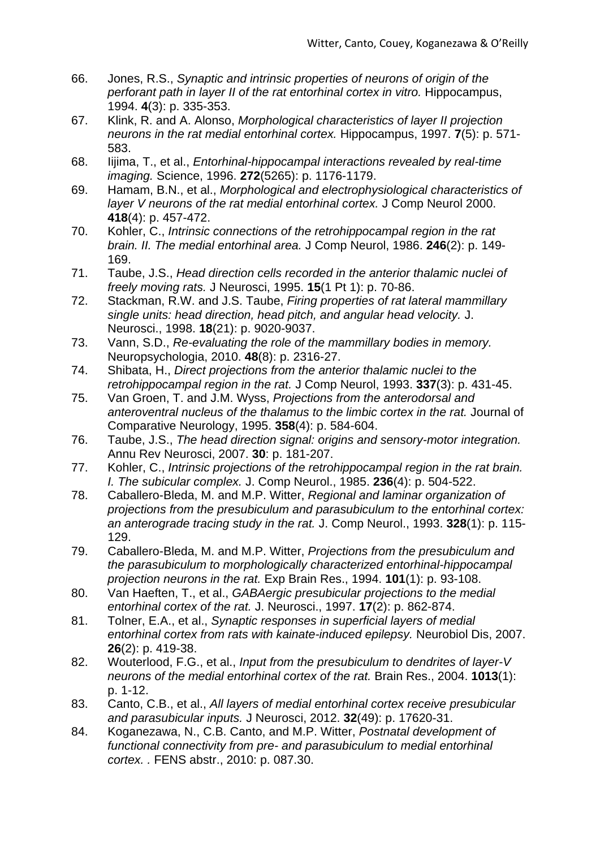- 66. Jones, R.S., *Synaptic and intrinsic properties of neurons of origin of the perforant path in layer II of the rat entorhinal cortex in vitro.* Hippocampus, 1994. **4**(3): p. 335-353.
- 67. Klink, R. and A. Alonso, *Morphological characteristics of layer II projection neurons in the rat medial entorhinal cortex.* Hippocampus, 1997. **7**(5): p. 571- 583.
- 68. Iijima, T., et al., *Entorhinal-hippocampal interactions revealed by real-time imaging.* Science, 1996. **272**(5265): p. 1176-1179.
- 69. Hamam, B.N., et al., *Morphological and electrophysiological characteristics of layer V neurons of the rat medial entorhinal cortex.* J Comp Neurol 2000. **418**(4): p. 457-472.
- 70. Kohler, C., *Intrinsic connections of the retrohippocampal region in the rat brain. II. The medial entorhinal area.* J Comp Neurol, 1986. **246**(2): p. 149- 169.
- 71. Taube, J.S., *Head direction cells recorded in the anterior thalamic nuclei of freely moving rats.* J Neurosci, 1995. **15**(1 Pt 1): p. 70-86.
- 72. Stackman, R.W. and J.S. Taube, *Firing properties of rat lateral mammillary single units: head direction, head pitch, and angular head velocity.* J. Neurosci., 1998. **18**(21): p. 9020-9037.
- 73. Vann, S.D., *Re-evaluating the role of the mammillary bodies in memory.* Neuropsychologia, 2010. **48**(8): p. 2316-27.
- 74. Shibata, H., *Direct projections from the anterior thalamic nuclei to the retrohippocampal region in the rat.* J Comp Neurol, 1993. **337**(3): p. 431-45.
- 75. Van Groen, T. and J.M. Wyss, *Projections from the anterodorsal and anteroventral nucleus of the thalamus to the limbic cortex in the rat.* Journal of Comparative Neurology, 1995. **358**(4): p. 584-604.
- 76. Taube, J.S., *The head direction signal: origins and sensory-motor integration.* Annu Rev Neurosci, 2007. **30**: p. 181-207.
- 77. Kohler, C., *Intrinsic projections of the retrohippocampal region in the rat brain. I. The subicular complex.* J. Comp Neurol., 1985. **236**(4): p. 504-522.
- 78. Caballero-Bleda, M. and M.P. Witter, *Regional and laminar organization of projections from the presubiculum and parasubiculum to the entorhinal cortex: an anterograde tracing study in the rat.* J. Comp Neurol., 1993. **328**(1): p. 115- 129.
- 79. Caballero-Bleda, M. and M.P. Witter, *Projections from the presubiculum and the parasubiculum to morphologically characterized entorhinal-hippocampal projection neurons in the rat.* Exp Brain Res., 1994. **101**(1): p. 93-108.
- 80. Van Haeften, T., et al., *GABAergic presubicular projections to the medial entorhinal cortex of the rat.* J. Neurosci., 1997. **17**(2): p. 862-874.
- 81. Tolner, E.A., et al., *Synaptic responses in superficial layers of medial entorhinal cortex from rats with kainate-induced epilepsy.* Neurobiol Dis, 2007. **26**(2): p. 419-38.
- 82. Wouterlood, F.G., et al., *Input from the presubiculum to dendrites of layer-V neurons of the medial entorhinal cortex of the rat.* Brain Res., 2004. **1013**(1): p. 1-12.
- 83. Canto, C.B., et al., *All layers of medial entorhinal cortex receive presubicular and parasubicular inputs.* J Neurosci, 2012. **32**(49): p. 17620-31.
- 84. Koganezawa, N., C.B. Canto, and M.P. Witter, *Postnatal development of functional connectivity from pre- and parasubiculum to medial entorhinal cortex. .* FENS abstr., 2010: p. 087.30.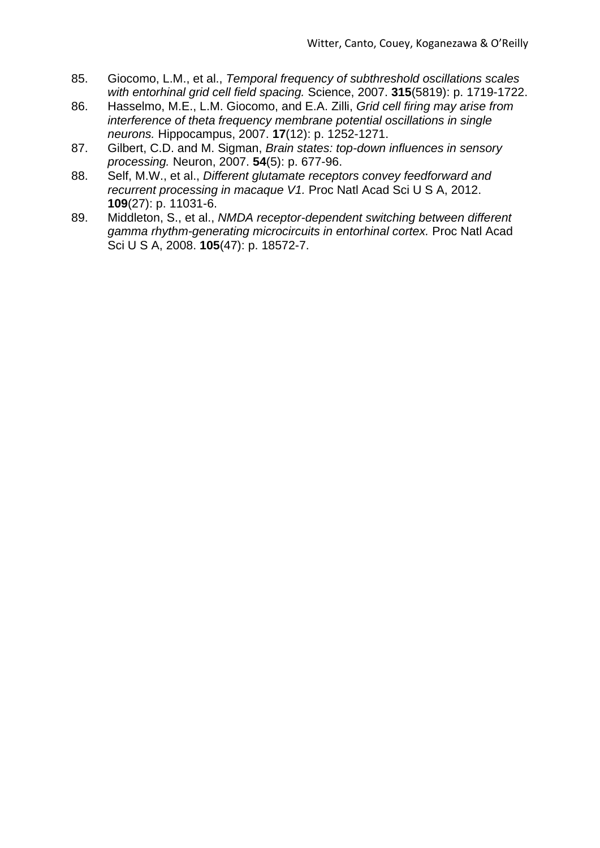- 85. Giocomo, L.M., et al., *Temporal frequency of subthreshold oscillations scales with entorhinal grid cell field spacing.* Science, 2007. **315**(5819): p. 1719-1722.
- 86. Hasselmo, M.E., L.M. Giocomo, and E.A. Zilli, *Grid cell firing may arise from interference of theta frequency membrane potential oscillations in single neurons.* Hippocampus, 2007. **17**(12): p. 1252-1271.
- 87. Gilbert, C.D. and M. Sigman, *Brain states: top-down influences in sensory processing.* Neuron, 2007. **54**(5): p. 677-96.
- 88. Self, M.W., et al., *Different glutamate receptors convey feedforward and recurrent processing in macaque V1.* Proc Natl Acad Sci U S A, 2012. **109**(27): p. 11031-6.
- 89. Middleton, S., et al., *NMDA receptor-dependent switching between different gamma rhythm-generating microcircuits in entorhinal cortex.* Proc Natl Acad Sci U S A, 2008. **105**(47): p. 18572-7.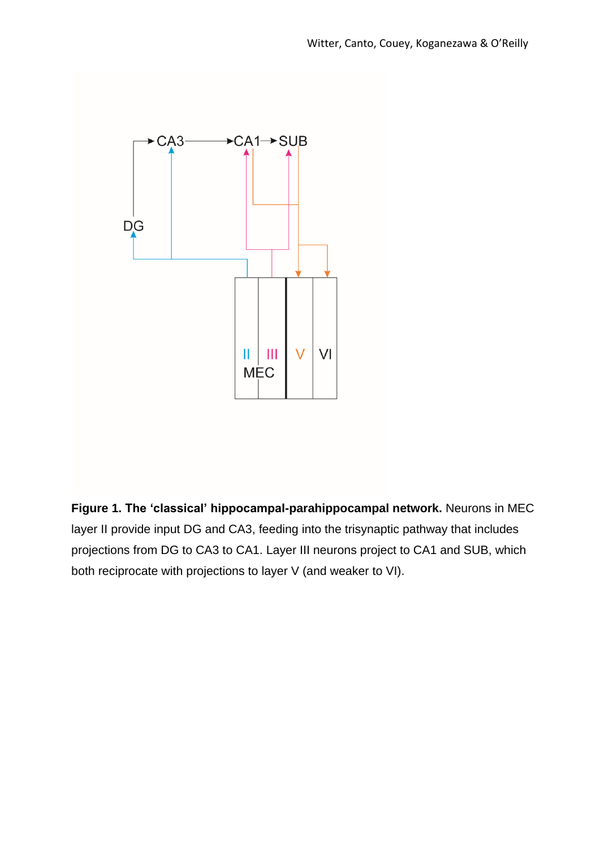

**Figure 1. The 'classical' hippocampal-parahippocampal network.** Neurons in MEC layer II provide input DG and CA3, feeding into the trisynaptic pathway that includes projections from DG to CA3 to CA1. Layer III neurons project to CA1 and SUB, which both reciprocate with projections to layer V (and weaker to VI).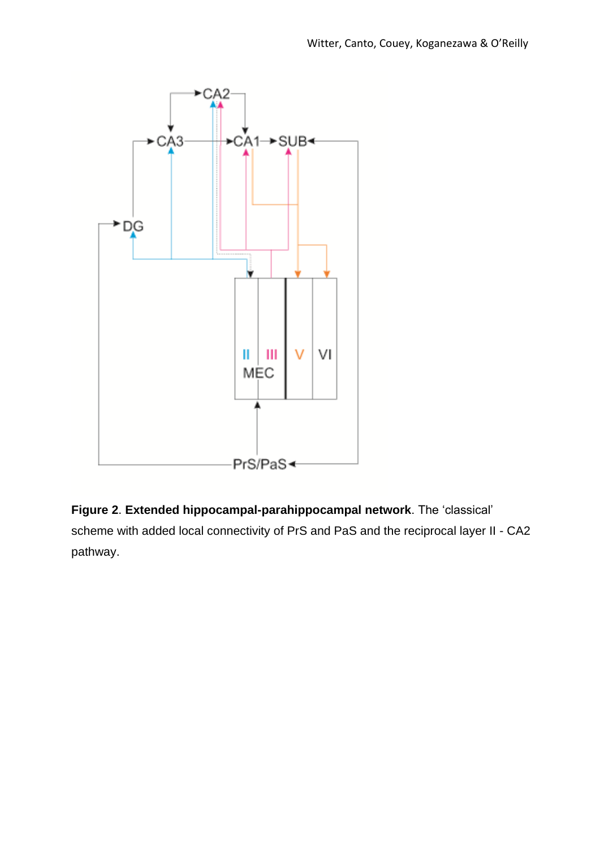

**Figure 2**. **Extended hippocampal-parahippocampal network**. The 'classical' scheme with added local connectivity of PrS and PaS and the reciprocal layer II - CA2 pathway.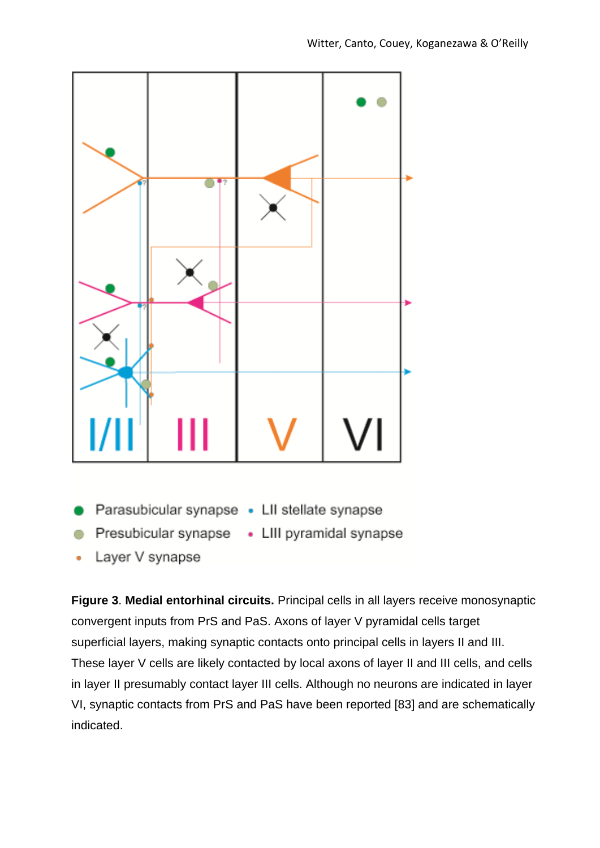

- Parasubicular synapse . LII stellate synapse
- Presubicular synapse . LIII pyramidal synapse
- 
- Layer V synapse

**Figure 3**. **Medial entorhinal circuits.** Principal cells in all layers receive monosynaptic convergent inputs from PrS and PaS. Axons of layer V pyramidal cells target superficial layers, making synaptic contacts onto principal cells in layers II and III. These layer V cells are likely contacted by local axons of layer II and III cells, and cells in layer II presumably contact layer III cells. Although no neurons are indicated in layer VI, synaptic contacts from PrS and PaS have been reported [83] and are schematically indicated.